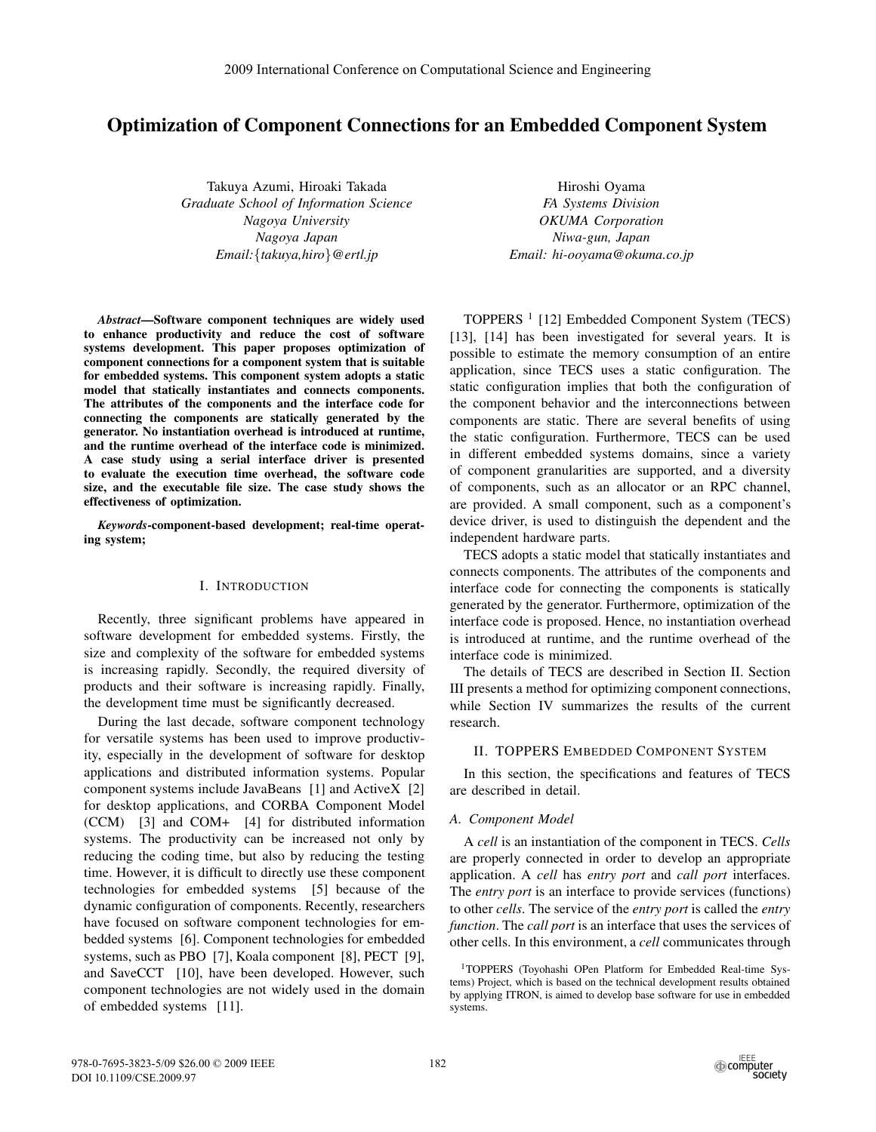# Optimization of Component Connections for an Embedded Component System

Takuya Azumi, Hiroaki Takada *Graduate School of Information Science Nagoya University Nagoya Japan Email:{takuya,hiro}@ertl.jp*

*Abstract*—Software component techniques are widely used to enhance productivity and reduce the cost of software systems development. This paper proposes optimization of component connections for a component system that is suitable for embedded systems. This component system adopts a static model that statically instantiates and connects components. The attributes of the components and the interface code for connecting the components are statically generated by the generator. No instantiation overhead is introduced at runtime, and the runtime overhead of the interface code is minimized. A case study using a serial interface driver is presented to evaluate the execution time overhead, the software code size, and the executable file size. The case study shows the effectiveness of optimization.

*Keywords*-component-based development; real-time operating system;

### I. INTRODUCTION

Recently, three significant problems have appeared in software development for embedded systems. Firstly, the size and complexity of the software for embedded systems is increasing rapidly. Secondly, the required diversity of products and their software is increasing rapidly. Finally, the development time must be significantly decreased.

During the last decade, software component technology for versatile systems has been used to improve productivity, especially in the development of software for desktop applications and distributed information systems. Popular component systems include JavaBeans [1] and ActiveX [2] for desktop applications, and CORBA Component Model (CCM) [3] and COM+ [4] for distributed information systems. The productivity can be increased not only by reducing the coding time, but also by reducing the testing time. However, it is difficult to directly use these component technologies for embedded systems [5] because of the dynamic configuration of components. Recently, researchers have focused on software component technologies for embedded systems [6]. Component technologies for embedded systems, such as PBO [7], Koala component [8], PECT [9], and SaveCCT [10], have been developed. However, such component technologies are not widely used in the domain of embedded systems [11].

Hiroshi Oyama *FA Systems Division OKUMA Corporation Niwa-gun, Japan Email: hi-ooyama@okuma.co.jp*

TOPPERS <sup>1</sup> [12] Embedded Component System (TECS) [13], [14] has been investigated for several years. It is possible to estimate the memory consumption of an entire application, since TECS uses a static configuration. The static configuration implies that both the configuration of the component behavior and the interconnections between components are static. There are several benefits of using the static configuration. Furthermore, TECS can be used in different embedded systems domains, since a variety of component granularities are supported, and a diversity of components, such as an allocator or an RPC channel, are provided. A small component, such as a component's device driver, is used to distinguish the dependent and the independent hardware parts.

TECS adopts a static model that statically instantiates and connects components. The attributes of the components and interface code for connecting the components is statically generated by the generator. Furthermore, optimization of the interface code is proposed. Hence, no instantiation overhead is introduced at runtime, and the runtime overhead of the interface code is minimized.

The details of TECS are described in Section II. Section III presents a method for optimizing component connections, while Section IV summarizes the results of the current research.

### II. TOPPERS EMBEDDED COMPONENT SYSTEM

In this section, the specifications and features of TECS are described in detail.

### *A. Component Model*

A *cell* is an instantiation of the component in TECS. *Cells* are properly connected in order to develop an appropriate application. A *cell* has *entry port* and *call port* interfaces. The *entry port* is an interface to provide services (functions) to other *cells*. The service of the *entry port* is called the *entry function*. The *call port* is an interface that uses the services of other cells. In this environment, a *cell* communicates through

<sup>&</sup>lt;sup>1</sup>TOPPERS (Toyohashi OPen Platform for Embedded Real-time Systems) Project, which is based on the technical development results obtained by applying ITRON, is aimed to develop base software for use in embedded systems.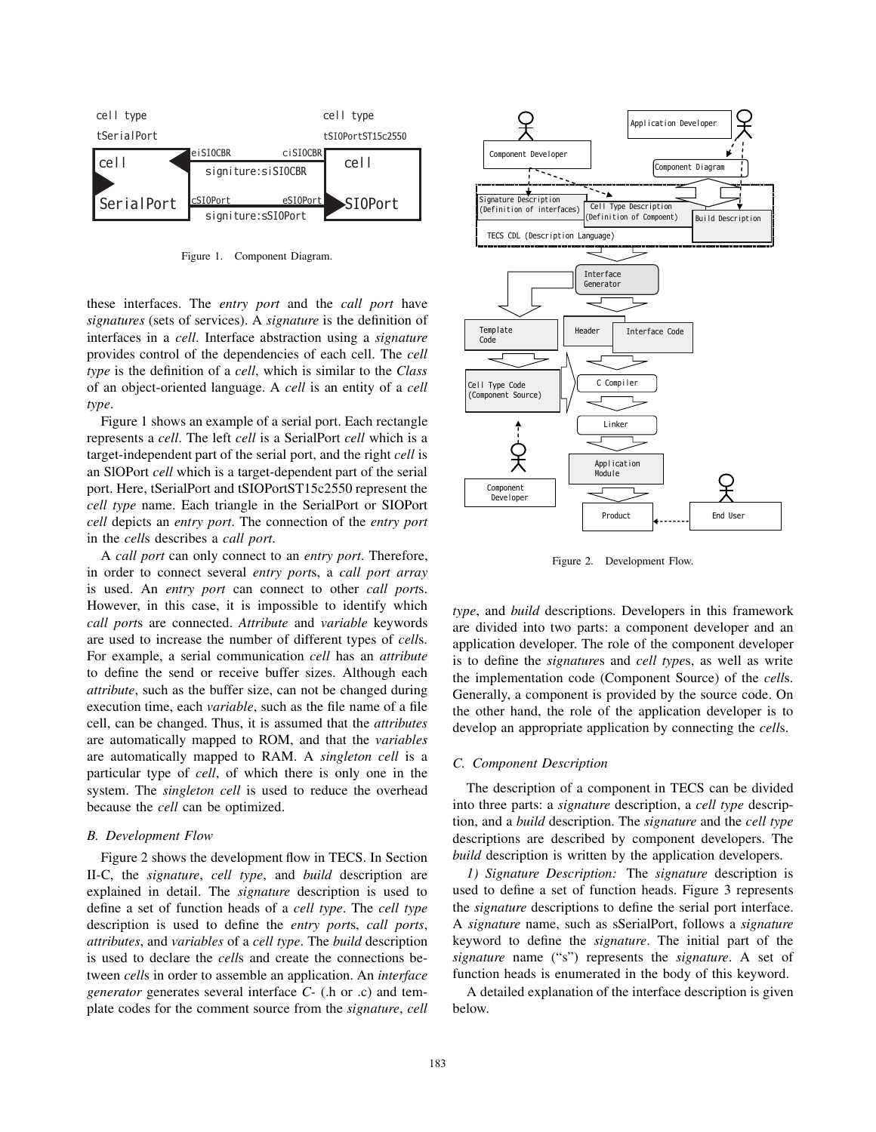

Figure 1. Component Diagram.

these interfaces. The *entry port* and the *call port* have *signatures* (sets of services). A *signature* is the definition of interfaces in a *cell*. Interface abstraction using a *signature* provides control of the dependencies of each cell. The *cell type* is the definition of a *cell*, which is similar to the *Class* of an object-oriented language. A *cell* is an entity of a *cell type*.

Figure 1 shows an example of a serial port. Each rectangle represents a *cell*. The left *cell* is a SerialPort *cell* which is a target-independent part of the serial port, and the right *cell* is an SlOPort *cell* which is a target-dependent part of the serial port. Here, tSerialPort and tSIOPortST15c2550 represent the *cell type* name. Each triangle in the SerialPort or SIOPort *cell* depicts an *entry port*. The connection of the *entry port* in the *cell*s describes a *call port*.

A *call port* can only connect to an *entry port*. Therefore, in order to connect several *entry port*s, a *call port array* is used. An *entry port* can connect to other *call port*s. However, in this case, it is impossible to identify which *call port*s are connected. *Attribute* and *variable* keywords are used to increase the number of different types of *cell*s. For example, a serial communication *cell* has an *attribute* to define the send or receive buffer sizes. Although each *attribute*, such as the buffer size, can not be changed during execution time, each *variable*, such as the file name of a file cell, can be changed. Thus, it is assumed that the *attributes* are automatically mapped to ROM, and that the *variables* are automatically mapped to RAM. A *singleton cell* is a particular type of *cell*, of which there is only one in the system. The *singleton cell* is used to reduce the overhead because the *cell* can be optimized.

### *B. Development Flow*

Figure 2 shows the development flow in TECS. In Section II-C, the *signature*, *cell type*, and *build* description are explained in detail. The *signature* description is used to define a set of function heads of a *cell type*. The *cell type* description is used to define the *entry port*s, *call ports*, *attributes*, and *variables* of a *cell type*. The *build* description is used to declare the *cell*s and create the connections between *cell*s in order to assemble an application. An *interface generator* generates several interface *C-* (.h or .c) and template codes for the comment source from the *signature*, *cell*



Figure 2. Development Flow.

*type*, and *build* descriptions. Developers in this framework are divided into two parts: a component developer and an application developer. The role of the component developer is to define the *signature*s and *cell type*s, as well as write the implementation code (Component Source) of the *cell*s. Generally, a component is provided by the source code. On the other hand, the role of the application developer is to develop an appropriate application by connecting the *cell*s.

### *C. Component Description*

The description of a component in TECS can be divided into three parts: a *signature* description, a *cell type* description, and a *build* description. The *signature* and the *cell type* descriptions are described by component developers. The *build* description is written by the application developers.

*1) Signature Description:* The *signature* description is used to define a set of function heads. Figure 3 represents the *signature* descriptions to define the serial port interface. A *signature* name, such as sSerialPort, follows a *signature* keyword to define the *signature*. The initial part of the *signature* name ("s") represents the *signature*. A set of function heads is enumerated in the body of this keyword.

A detailed explanation of the interface description is given below.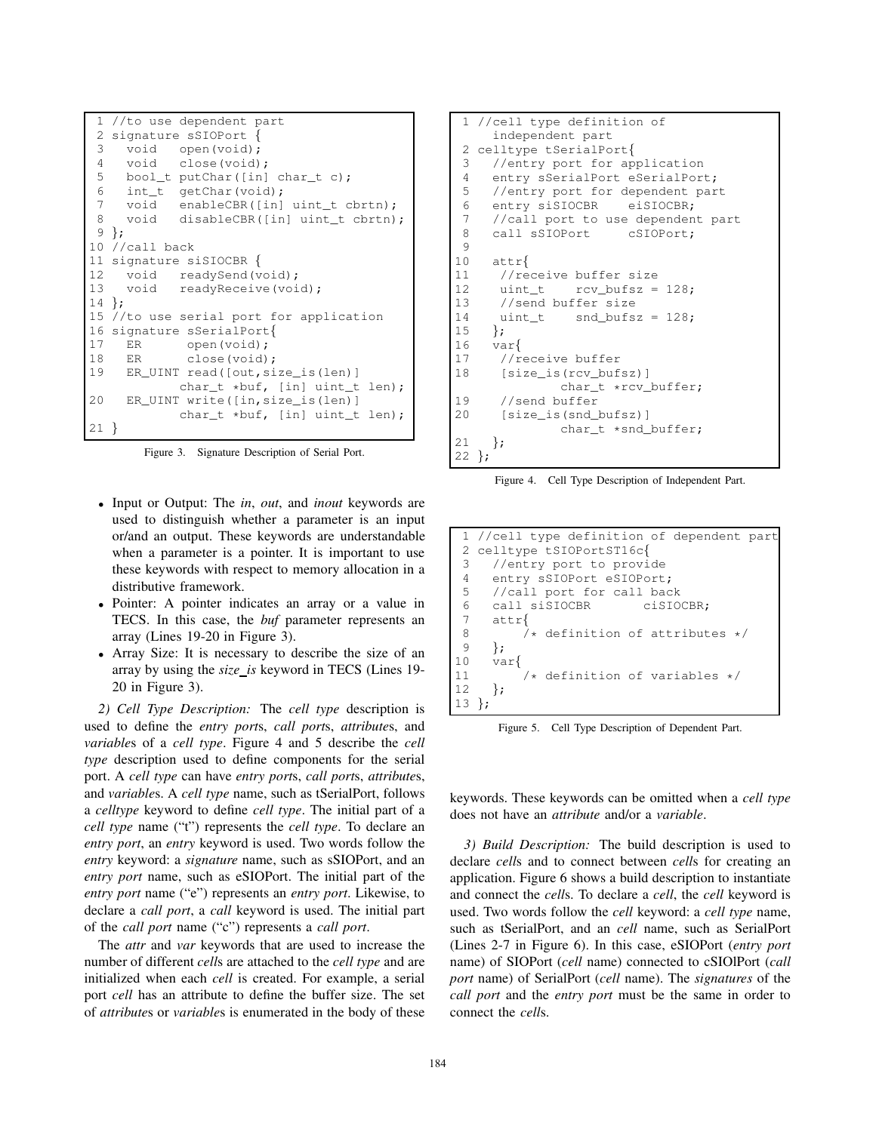| 1 //to use dependent part               |  |
|-----------------------------------------|--|
| 2 signature sSIOPort {                  |  |
| 3<br>void open(void);                   |  |
| 4 void close(void);                     |  |
| 5 bool_t putChar([in] char_t c);        |  |
| $6$ int_t qetChar(void);                |  |
| 7 void enableCBR([in] uint_t cbrtn);    |  |
| 8 void disableCBR([in] uint_t cbrtn);   |  |
| $9$ };                                  |  |
| 10 //call back                          |  |
| 11 signature siSIOCBR {                 |  |
| 12 void readySend(void);                |  |
| 13 void readyReceive(void);             |  |
| $14$ };                                 |  |
| 15 //to use serial port for application |  |
| 16 signature sSerialPort{               |  |
| 17 ER open(void);                       |  |
| 18 ER close (void);                     |  |
| 19 ER_UINT read([out, size_is(len)]     |  |
| char_t *buf, [in] uint_t len);          |  |
| 20 ER_UINT write([in, size_is(len)]     |  |
| char_t *buf, [in] uint_t len);          |  |
| $21 \}$                                 |  |

Figure 3. Signature Description of Serial Port.

- *•* Input or Output: The *in*, *out*, and *inout* keywords are used to distinguish whether a parameter is an input or/and an output. These keywords are understandable when a parameter is a pointer. It is important to use these keywords with respect to memory allocation in a distributive framework.
- *•* Pointer: A pointer indicates an array or a value in TECS. In this case, the *buf* parameter represents an array (Lines 19-20 in Figure 3).
- *•* Array Size: It is necessary to describe the size of an array by using the *size is* keyword in TECS (Lines 19- 20 in Figure 3).

*2) Cell Type Description:* The *cell type* description is used to define the *entry port*s, *call port*s, *attribute*s, and *variable*s of a *cell type*. Figure 4 and 5 describe the *cell type* description used to define components for the serial port. A *cell type* can have *entry port*s, *call port*s, *attribute*s, and *variable*s. A *cell type* name, such as tSerialPort, follows a *celltype* keyword to define *cell type*. The initial part of a *cell type* name ("t") represents the *cell type*. To declare an *entry port*, an *entry* keyword is used. Two words follow the *entry* keyword: a *signature* name, such as sSIOPort, and an *entry port* name, such as eSIOPort. The initial part of the *entry port* name ("e") represents an *entry port*. Likewise, to declare a *call port*, a *call* keyword is used. The initial part of the *call port* name ("c") represents a *call port*.

The *attr* and *var* keywords that are used to increase the number of different *cell*s are attached to the *cell type* and are initialized when each *cell* is created. For example, a serial port *cell* has an attribute to define the buffer size. The set of *attribute*s or *variable*s is enumerated in the body of these

```
1 //cell type definition of
     independent part
 2 celltype tSerialPort{
     //entry port for application
 4 entry sSerialPort eSerialPort;
 5 //entry port for dependent part
 6 entry siSIOCBR eiSIOCBR;
 7 //call port to use dependent part
 8 call sSIOPort cSIOPort;
 9
10 attr{
      //receive buffer size
12 uint_t rcv_bufsz = 128;<br>13 //send buffer size
13 //send buffer size<br>14 uint t snd bufs
      uint t snd bufsz = 128;
15 };
16 var{
      //receive buffer
18 [size_is(rcv_bufsz)]
               char_t *rcv_buffer;
19 //send buffer<br>20 [size is(snd
      [size_is(snd_bufsz)]
               char_t *snd_buffer;
21 };
22 };
```
Figure 4. Cell Type Description of Independent Part.

```
1 //cell type definition of dependent part
 2 celltype tSIOPortST16c{
     //entry port to provide
 4 entry sSIOPort eSIOPort;
 5 //call port for call back
 6 call siSIOCBR ciSIOCBR;<br>7 attr{
 7 attr{
 8 /* definition of attributes */<br>9 }:
9 };
10 var{
11 /* definition of variables */<br>12 }:12 };
13 };
```
Figure 5. Cell Type Description of Dependent Part.

keywords. These keywords can be omitted when a *cell type* does not have an *attribute* and/or a *variable*.

*3) Build Description:* The build description is used to declare *cell*s and to connect between *cell*s for creating an application. Figure 6 shows a build description to instantiate and connect the *cell*s. To declare a *cell*, the *cell* keyword is used. Two words follow the *cell* keyword: a *cell type* name, such as tSerialPort, and an *cell* name, such as SerialPort (Lines 2-7 in Figure 6). In this case, eSIOPort (*entry port* name) of SIOPort (*cell* name) connected to cSIOlPort (*call port* name) of SerialPort (*cell* name). The *signatures* of the *call port* and the *entry port* must be the same in order to connect the *cell*s.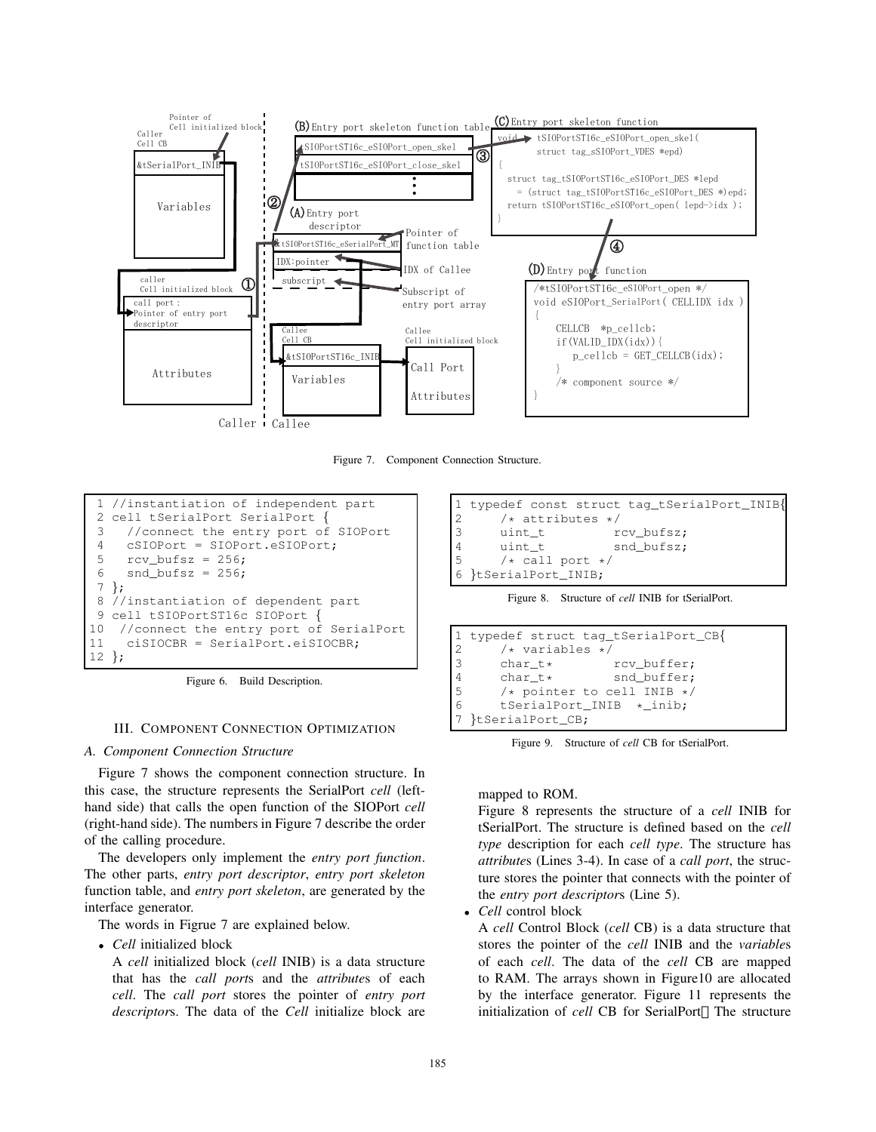

Figure 7. Component Connection Structure.



Figure 6. Build Description.

### III. COMPONENT CONNECTION OPTIMIZATION

#### *A. Component Connection Structure*

Figure 7 shows the component connection structure. In this case, the structure represents the SerialPort *cell* (lefthand side) that calls the open function of the SIOPort *cell* (right-hand side). The numbers in Figure 7 describe the order of the calling procedure.

The developers only implement the *entry port function*. The other parts, *entry port descriptor*, *entry port skeleton* function table, and *entry port skeleton*, are generated by the interface generator.

The words in Figrue 7 are explained below.

*• Cell* initialized block

A *cell* initialized block (*cell* INIB) is a data structure that has the *call port*s and the *attribute*s of each *cell*. The *call port* stores the pointer of *entry port descriptor*s. The data of the *Cell* initialize block are

```
1 typedef const struct tag_tSerialPort_INIB{
2 /* attributes */<br>3 uint t r
        uint_t rcv_bufsz;<br>uint_t snd_bufsz;
4 uint_t snd_bufsz;<br>5 /* call port */
5 /* call port */<br>6 \tSerialPort INIR:
  6 }tSerialPort_INIB;
```
Figure 8. Structure of *cell* INIB for tSerialPort.

```
1 typedef struct tag_tSerialPort_CB{
2 /* variables */<br>3 char t*
3 char_t* rcv_buffer;<br>4 char_t* snd_buffer;
4 char_t* snd_buffer;<br>5 /* pointer to cell INIB */
5 /* pointer to cell INIB */<br>6 tSerialPort_INIB *_inib;
6 tSerialPort_INIB \star_inib;<br>7 \tSerialPort CB:
  7 }tSerialPort_CB;
```
Figure 9. Structure of *cell* CB for tSerialPort.

mapped to ROM.

Figure 8 represents the structure of a *cell* INIB for tSerialPort. The structure is defined based on the *cell type* description for each *cell type*. The structure has *attribute*s (Lines 3-4). In case of a *call port*, the structure stores the pointer that connects with the pointer of the *entry port descriptor*s (Line 5).

*• Cell* control block

A *cell* Control Block (*cell* CB) is a data structure that stores the pointer of the *cell* INIB and the *variable*s of each *cell*. The data of the *cell* CB are mapped to RAM. The arrays shown in Figure10 are allocated by the interface generator. Figure 11 represents the initialization of *cell* CB for SerialPort The structure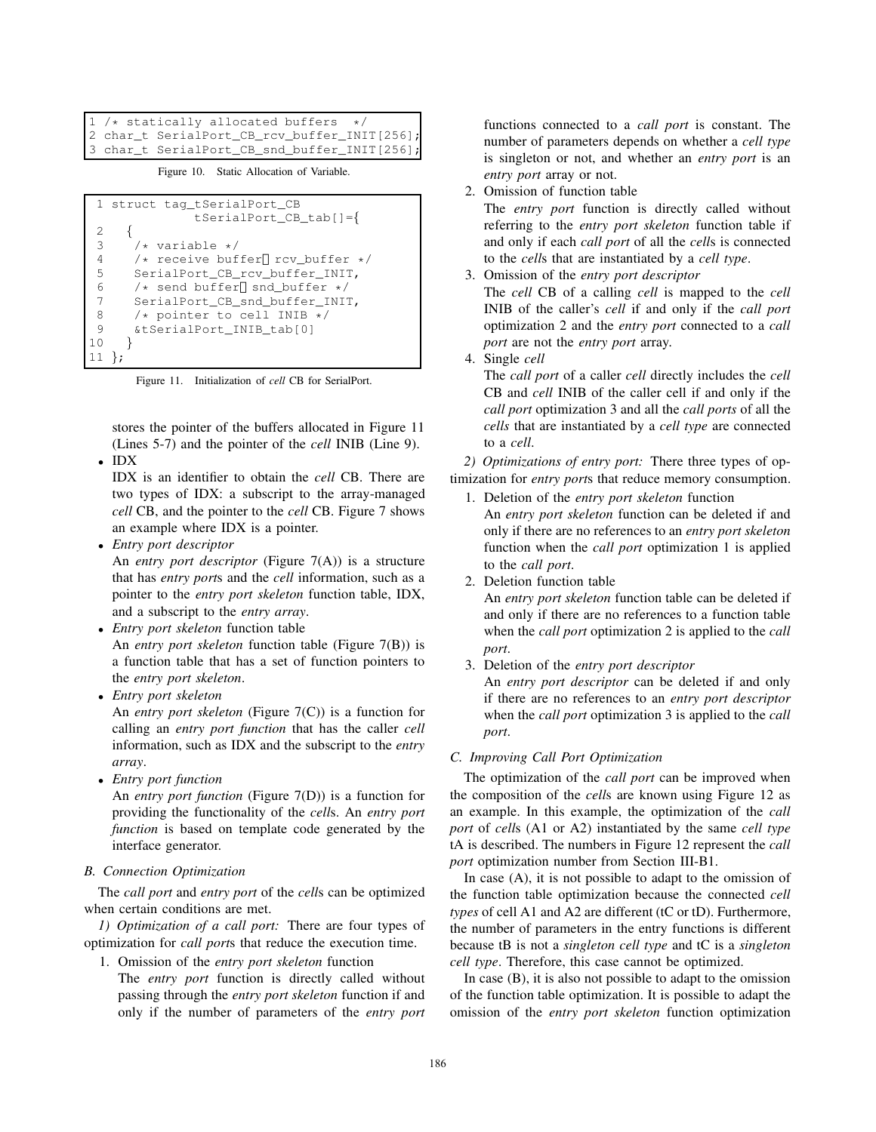|  | 1 /* statically allocated buffers $*/$       |  |
|--|----------------------------------------------|--|
|  | 2 char_t SerialPort_CB_rcv_buffer_INIT[256]; |  |
|  | 3 char_t SerialPort_CB_snd_buffer_INIT[256]; |  |

Figure 10. Static Allocation of Variable.

```
1 struct tag_tSerialPort_CB
                  tSerialPort_CB_tab[]={
 2 {
 3 /* variable */<br>4 /* receive buf
 4 /* receive buffer rcv_buffer */<br>5 SerialPort_CB_rcv_buffer_INIT,
       5 SerialPort_CB_rcv_buffer_INIT,
 6 /* send buffer snd_buffer */
       7 SerialPort_CB_snd_buffer_INIT,
 8 /* pointer to cell INIB */<br>9 \&tSerialPort INIB tab[0]
       9 &tSerialPort_INIB_tab[0]
10 }
11 };
```
Figure 11. Initialization of *cell* CB for SerialPort.

stores the pointer of the buffers allocated in Figure 11 (Lines 5-7) and the pointer of the *cell* INIB (Line 9).

*•* IDX

IDX is an identifier to obtain the *cell* CB. There are two types of IDX: a subscript to the array-managed *cell* CB, and the pointer to the *cell* CB. Figure 7 shows an example where IDX is a pointer.

*• Entry port descriptor*

An *entry port descriptor* (Figure 7(A)) is a structure that has *entry port*s and the *cell* information, such as a pointer to the *entry port skeleton* function table, IDX, and a subscript to the *entry array*.

*• Entry port skeleton* function table An *entry port skeleton* function table (Figure 7(B)) is a function table that has a set of function pointers to the *entry port skeleton*.

*• Entry port skeleton* An *entry port skeleton* (Figure 7(C)) is a function for calling an *entry port function* that has the caller *cell* information, such as IDX and the subscript to the *entry array*.

- *• Entry port function* An *entry port function* (Figure 7(D)) is a function for providing the functionality of the *cell*s. An *entry port function* is based on template code generated by the interface generator.
- *B. Connection Optimization*

The *call port* and *entry port* of the *cell*s can be optimized when certain conditions are met.

*1) Optimization of a call port:* There are four types of optimization for *call port*s that reduce the execution time.

- 1. Omission of the *entry port skeleton* function
	- The *entry port* function is directly called without passing through the *entry port skeleton* function if and only if the number of parameters of the *entry port*

functions connected to a *call port* is constant. The number of parameters depends on whether a *cell type* is singleton or not, and whether an *entry port* is an *entry port* array or not.

2. Omission of function table

The *entry port* function is directly called without referring to the *entry port skeleton* function table if and only if each *call port* of all the *cell*s is connected to the *cell*s that are instantiated by a *cell type*.

3. Omission of the *entry port descriptor*

The *cell* CB of a calling *cell* is mapped to the *cell* INIB of the caller's *cell* if and only if the *call port* optimization 2 and the *entry port* connected to a *call port* are not the *entry port* array.

4. Single *cell*

The *call port* of a caller *cell* directly includes the *cell* CB and *cell* INIB of the caller cell if and only if the *call port* optimization 3 and all the *call ports* of all the *cells* that are instantiated by a *cell type* are connected to a *cell*.

*2) Optimizations of entry port:* There three types of optimization for *entry port*s that reduce memory consumption.

1. Deletion of the *entry port skeleton* function

An *entry port skeleton* function can be deleted if and only if there are no references to an *entry port skeleton* function when the *call port* optimization 1 is applied to the *call port*.

2. Deletion function table

An *entry port skeleton* function table can be deleted if and only if there are no references to a function table when the *call port* optimization 2 is applied to the *call port*.

3. Deletion of the *entry port descriptor*

An *entry port descriptor* can be deleted if and only if there are no references to an *entry port descriptor* when the *call port* optimization 3 is applied to the *call port*.

## *C. Improving Call Port Optimization*

The optimization of the *call port* can be improved when the composition of the *cell*s are known using Figure 12 as an example. In this example, the optimization of the *call port* of *cell*s (A1 or A2) instantiated by the same *cell type* tA is described. The numbers in Figure 12 represent the *call port* optimization number from Section III-B1.

In case (A), it is not possible to adapt to the omission of the function table optimization because the connected *cell types* of cell A1 and A2 are different (tC or tD). Furthermore, the number of parameters in the entry functions is different because tB is not a *singleton cell type* and tC is a *singleton cell type*. Therefore, this case cannot be optimized.

In case (B), it is also not possible to adapt to the omission of the function table optimization. It is possible to adapt the omission of the *entry port skeleton* function optimization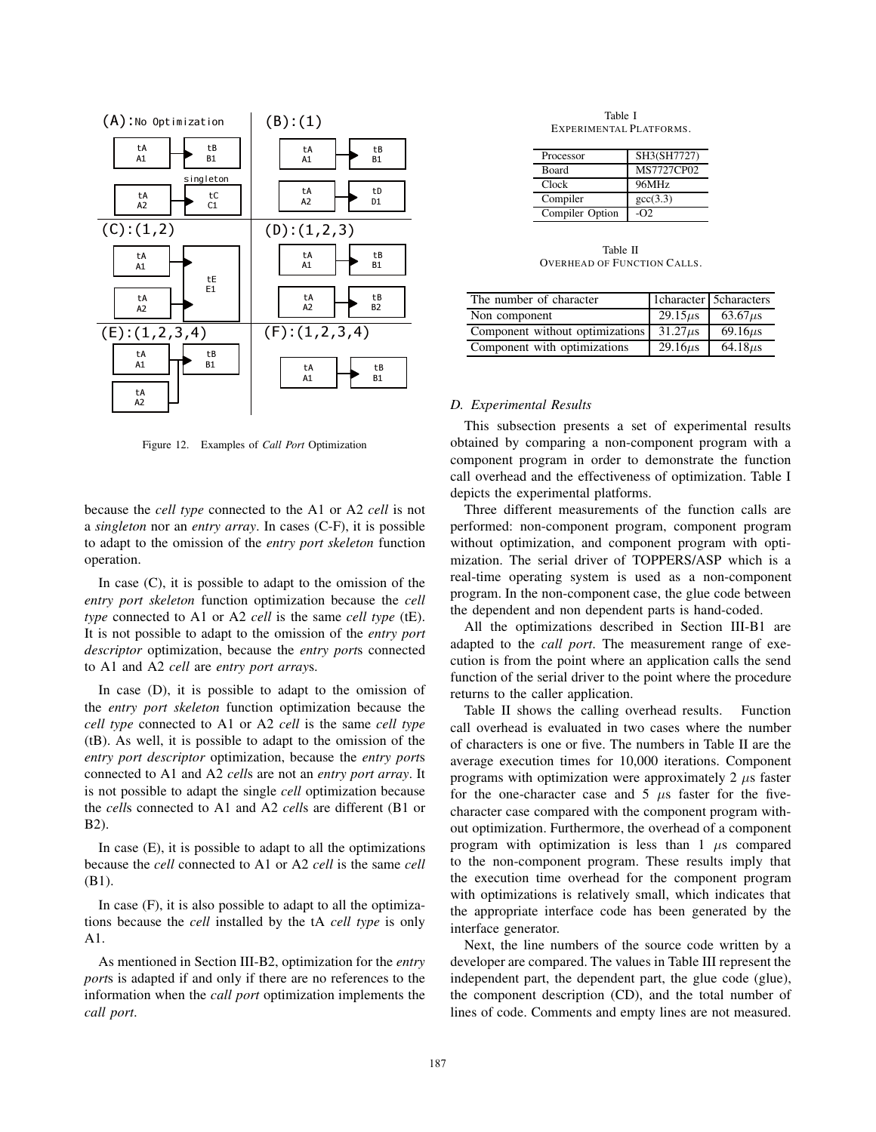

Figure 12. Examples of *Call Port* Optimization

because the *cell type* connected to the A1 or A2 *cell* is not a *singleton* nor an *entry array*. In cases (C-F), it is possible to adapt to the omission of the *entry port skeleton* function operation.

In case (C), it is possible to adapt to the omission of the *entry port skeleton* function optimization because the *cell type* connected to A1 or A2 *cell* is the same *cell type* (tE). It is not possible to adapt to the omission of the *entry port descriptor* optimization, because the *entry port*s connected to A1 and A2 *cell* are *entry port array*s.

In case (D), it is possible to adapt to the omission of the *entry port skeleton* function optimization because the *cell type* connected to A1 or A2 *cell* is the same *cell type* (tB). As well, it is possible to adapt to the omission of the *entry port descriptor* optimization, because the *entry port*s connected to A1 and A2 *cell*s are not an *entry port array*. It is not possible to adapt the single *cell* optimization because the *cell*s connected to A1 and A2 *cell*s are different (B1 or B2).

In case (E), it is possible to adapt to all the optimizations because the *cell* connected to A1 or A2 *cell* is the same *cell* (B1).

In case (F), it is also possible to adapt to all the optimizations because the *cell* installed by the tA *cell type* is only A1.

As mentioned in Section III-B2, optimization for the *entry port*s is adapted if and only if there are no references to the information when the *call port* optimization implements the *call port*.

Table I EXPERIMENTAL PLATFORMS.

| Processor       | SH3(SH7727) |
|-----------------|-------------|
| <b>Board</b>    | MS7727CP02  |
| Clock           | 96MHz       |
| Compiler        | $\gcd(3.3)$ |
| Compiler Option | -02         |

Table II OVERHEAD OF FUNCTION CALLS.

| The number of character         |              | 1character 5characters |
|---------------------------------|--------------|------------------------|
| Non component                   | $29.15\mu s$ | $63.67\mu s$           |
| Component without optimizations | $31.27\mu s$ | $69.16\mu s$           |
| Component with optimizations    | $29.16\mu s$ | $64.18\mu s$           |

### *D. Experimental Results*

This subsection presents a set of experimental results obtained by comparing a non-component program with a component program in order to demonstrate the function call overhead and the effectiveness of optimization. Table I depicts the experimental platforms.

Three different measurements of the function calls are performed: non-component program, component program without optimization, and component program with optimization. The serial driver of TOPPERS/ASP which is a real-time operating system is used as a non-component program. In the non-component case, the glue code between the dependent and non dependent parts is hand-coded.

All the optimizations described in Section III-B1 are adapted to the *call port*. The measurement range of execution is from the point where an application calls the send function of the serial driver to the point where the procedure returns to the caller application.

Table II shows the calling overhead results. Function call overhead is evaluated in two cases where the number of characters is one or five. The numbers in Table II are the average execution times for 10,000 iterations. Component programs with optimization were approximately 2 *µ*s faster for the one-character case and  $5 \mu s$  faster for the fivecharacter case compared with the component program without optimization. Furthermore, the overhead of a component program with optimization is less than 1 *µ*s compared to the non-component program. These results imply that the execution time overhead for the component program with optimizations is relatively small, which indicates that the appropriate interface code has been generated by the interface generator.

Next, the line numbers of the source code written by a developer are compared. The values in Table III represent the independent part, the dependent part, the glue code (glue), the component description (CD), and the total number of lines of code. Comments and empty lines are not measured.